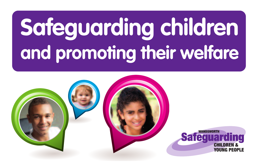# **Safeguarding children and promoting their welfare**

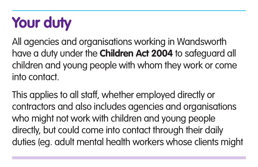## **Your duty**

All agencies and organisations working in Wandsworth have a duty under the **Children Act 2004** to safeguard all children and young people with whom they work or come into contact.

This applies to all staff, whether employed directly or contractors and also includes agencies and organisations who might not work with children and young people directly, but could come into contact through their daily duties (eg. adult mental health workers whose clients might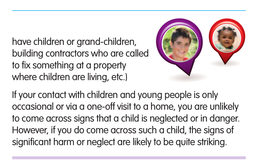have children or grand-children, building contractors who are called to fix something at a property where children are living, etc.)



If your contact with children and young people is only occasional or via a one-off visit to a home, you are unlikely to come across signs that a child is neglected or in danger. However, if you do come across such a child, the signs of significant harm or neglect are likely to be quite striking.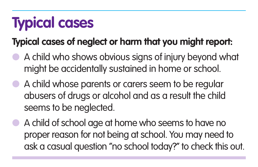## **Typical cases**

#### **Typical cases of neglect or harm that you might report:**

- A child who shows obvious signs of injury beyond what might be accidentally sustained in home or school.
- A child whose parents or carers seem to be regular abusers of drugs or alcohol and as a result the child seems to be neglected.
- A child of school age at home who seems to have no proper reason for not being at school. You may need to ask a casual question "no school today?" to check this out.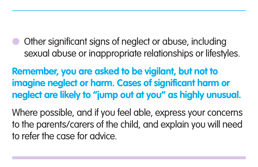Other significant signs of neglect or abuse, including sexual abuse or inappropriate relationships or lifestyles.

**Remember, you are asked to be vigilant, but not to imagine neglect or harm. Cases of significant harm or neglect are likely to "jump out at you" as highly unusual.**

Where possible, and if you feel able, express your concerns to the parents/carers of the child, and explain you will need to refer the case for advice.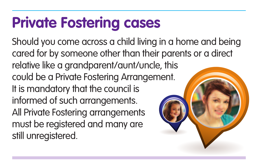### **Private Fostering cases**

Should you come across a child living in a home and being cared for by someone other than their parents or a direct relative like a grandparent/aunt/uncle, this could be a Private Fostering Arrangement. It is mandatory that the council is informed of such arrangements. All Private Fostering arrangements must be registered and many are still unregistered.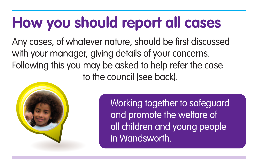## **How you should report all cases**

Any cases, of whatever nature, should be first discussed with your manager, giving details of your concerns. Following this you may be asked to help refer the case to the council (see back).



Working together to safeguard and promote the welfare of all children and young people in Wandsworth.